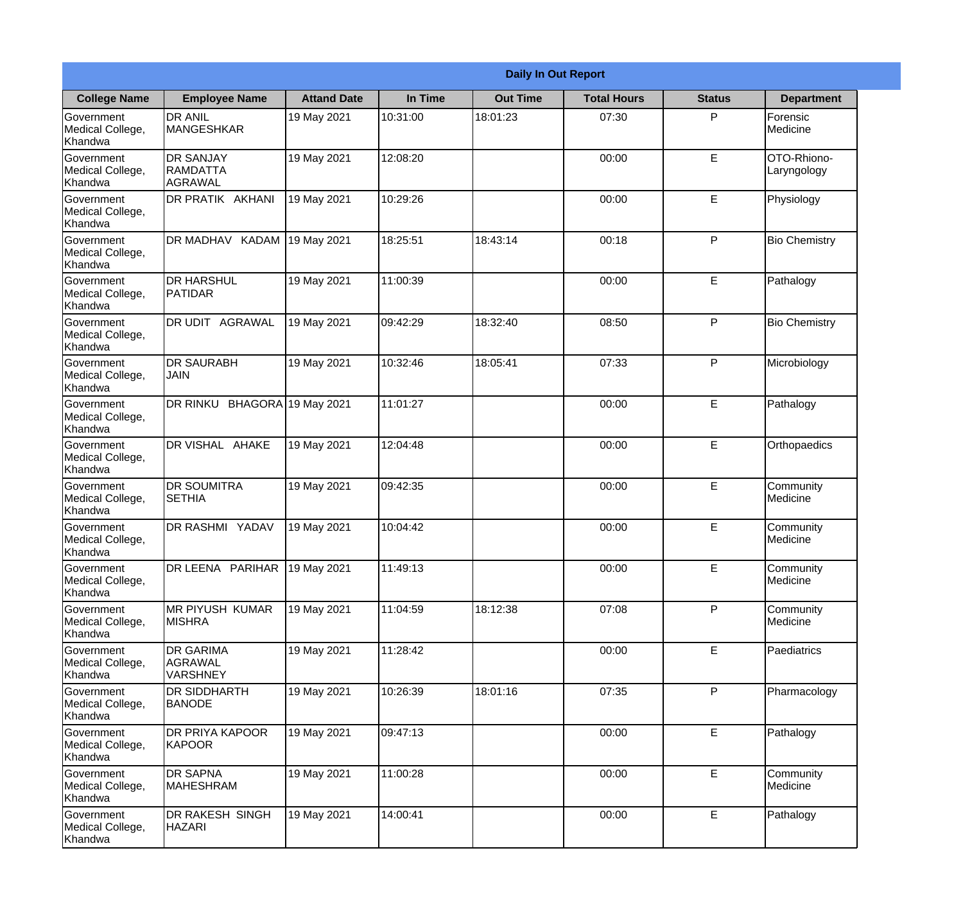|                                                  | <b>Daily In Out Report</b>                            |                    |          |                 |                    |               |                            |  |
|--------------------------------------------------|-------------------------------------------------------|--------------------|----------|-----------------|--------------------|---------------|----------------------------|--|
| <b>College Name</b>                              | <b>Employee Name</b>                                  | <b>Attand Date</b> | In Time  | <b>Out Time</b> | <b>Total Hours</b> | <b>Status</b> | <b>Department</b>          |  |
| Government<br>Medical College,<br>Khandwa        | <b>DR ANIL</b><br>MANGESHKAR                          | 19 May 2021        | 10:31:00 | 18:01:23        | 07:30              | P             | Forensic<br>Medicine       |  |
| Government<br>Medical College,<br>Khandwa        | <b>DR SANJAY</b><br><b>RAMDATTA</b><br>AGRAWAL        | 19 May 2021        | 12:08:20 |                 | 00:00              | $\mathsf E$   | OTO-Rhiono-<br>Laryngology |  |
| <b>Government</b><br>Medical College,<br>Khandwa | <b>DR PRATIK AKHANI</b>                               | 19 May 2021        | 10:29:26 |                 | 00:00              | E             | Physiology                 |  |
| <b>Government</b><br>Medical College,<br>Khandwa | <b>DR MADHAV KADAM</b>                                | 19 May 2021        | 18:25:51 | 18:43:14        | 00:18              | P             | <b>Bio Chemistry</b>       |  |
| Government<br>Medical College,<br>Khandwa        | <b>IDR HARSHUL</b><br>PATIDAR                         | 19 May 2021        | 11:00:39 |                 | 00:00              | E             | Pathalogy                  |  |
| Government<br>Medical College,<br>Khandwa        | <b>DR UDIT AGRAWAL</b>                                | 19 May 2021        | 09:42:29 | 18:32:40        | 08:50              | P             | <b>Bio Chemistry</b>       |  |
| <b>Government</b><br>Medical College,<br>Khandwa | <b>DR SAURABH</b><br><b>JAIN</b>                      | 19 May 2021        | 10:32:46 | 18:05:41        | 07:33              | P             | Microbiology               |  |
| <b>Government</b><br>Medical College,<br>Khandwa | DR RINKU BHAGORA 19 May 2021                          |                    | 11:01:27 |                 | 00:00              | E             | Pathalogy                  |  |
| Government<br>Medical College,<br>Khandwa        | DR VISHAL AHAKE                                       | 19 May 2021        | 12:04:48 |                 | 00:00              | E             | Orthopaedics               |  |
| Government<br>Medical College,<br>Khandwa        | <b>DR SOUMITRA</b><br><b>SETHIA</b>                   | 19 May 2021        | 09:42:35 |                 | 00:00              | $\mathsf E$   | Community<br>Medicine      |  |
| Government<br>Medical College,<br>Khandwa        | <b>DR RASHMI YADAV</b>                                | 19 May 2021        | 10:04:42 |                 | 00:00              | E             | Community<br>Medicine      |  |
| Government<br>Medical College,<br>Khandwa        | DR LEENA PARIHAR                                      | 19 May 2021        | 11:49:13 |                 | 00:00              | E             | Community<br>Medicine      |  |
| Government<br>Medical College,<br>Khandwa        | <b>MR PIYUSH KUMAR</b><br><b>MISHRA</b>               | 19 May 2021        | 11:04:59 | 18:12:38        | 07:08              | P             | Community<br>Medicine      |  |
| Government<br>Medical College,<br>Khandwa        | <b>DR GARIMA</b><br><b>AGRAWAL</b><br><b>VARSHNEY</b> | 19 May 2021        | 11:28:42 |                 | 00:00              | $\mathsf E$   | Paediatrics                |  |
| <b>Government</b><br>Medical College,<br>Khandwa | IDR SIDDHARTH<br><b>BANODE</b>                        | 19 May 2021        | 10:26:39 | 18:01:16        | 07:35              | $\mathsf{P}$  | Pharmacology               |  |
| Government<br>Medical College,<br>Khandwa        | <b>DR PRIYA KAPOOR</b><br>KAPOOR                      | 19 May 2021        | 09:47:13 |                 | 00:00              | E             | Pathalogy                  |  |
| Government<br>Medical College,<br>Khandwa        | <b>DR SAPNA</b><br><b>MAHESHRAM</b>                   | 19 May 2021        | 11:00:28 |                 | 00:00              | E             | Community<br>Medicine      |  |
| Government<br>Medical College,<br>Khandwa        | DR RAKESH SINGH<br><b>HAZARI</b>                      | 19 May 2021        | 14:00:41 |                 | 00:00              | $\mathsf E$   | Pathalogy                  |  |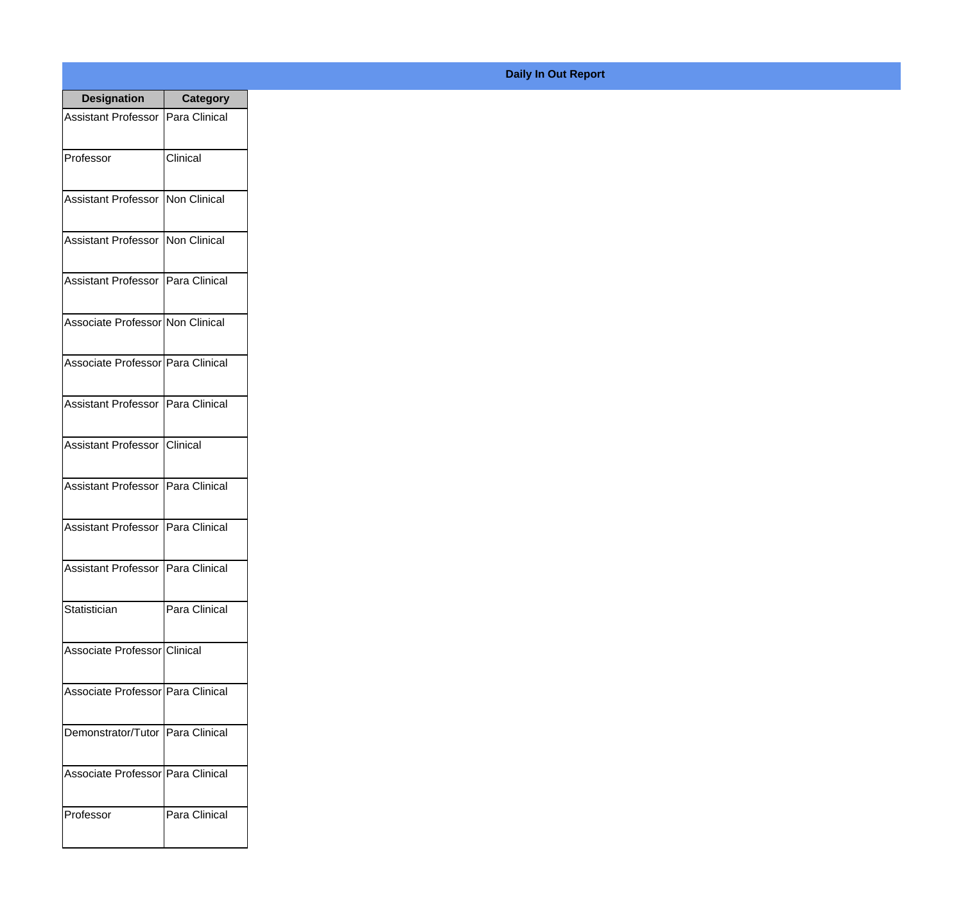| <b>Designation</b>                  | <b>Category</b> |
|-------------------------------------|-----------------|
| Assistant Professor   Para Clinical |                 |
| Professor                           | Clinical        |
| Assistant Professor                 | Non Clinical    |
| <b>Assistant Professor</b>          | Non Clinical    |
| Assistant Professor   Para Clinical |                 |
| Associate Professor Non Clinical    |                 |
| Associate Professor Para Clinical   |                 |
| Assistant Professor   Para Clinical |                 |
| Assistant Professor   Clinical      |                 |
| <b>Assistant Professor</b>          | Para Clinical   |
| Assistant Professor                 | Para Clinical   |
| Assistant Professor   Para Clinical |                 |
| Statistician                        | Para Clinical   |
| Associate Professor Clinical        |                 |
| Associate Professor Para Clinical   |                 |
| Demonstrator/Tutor   Para Clinical  |                 |
| Associate Professor   Para Clinical |                 |
| Professor                           | Para Clinical   |

## **Daily In Out Report**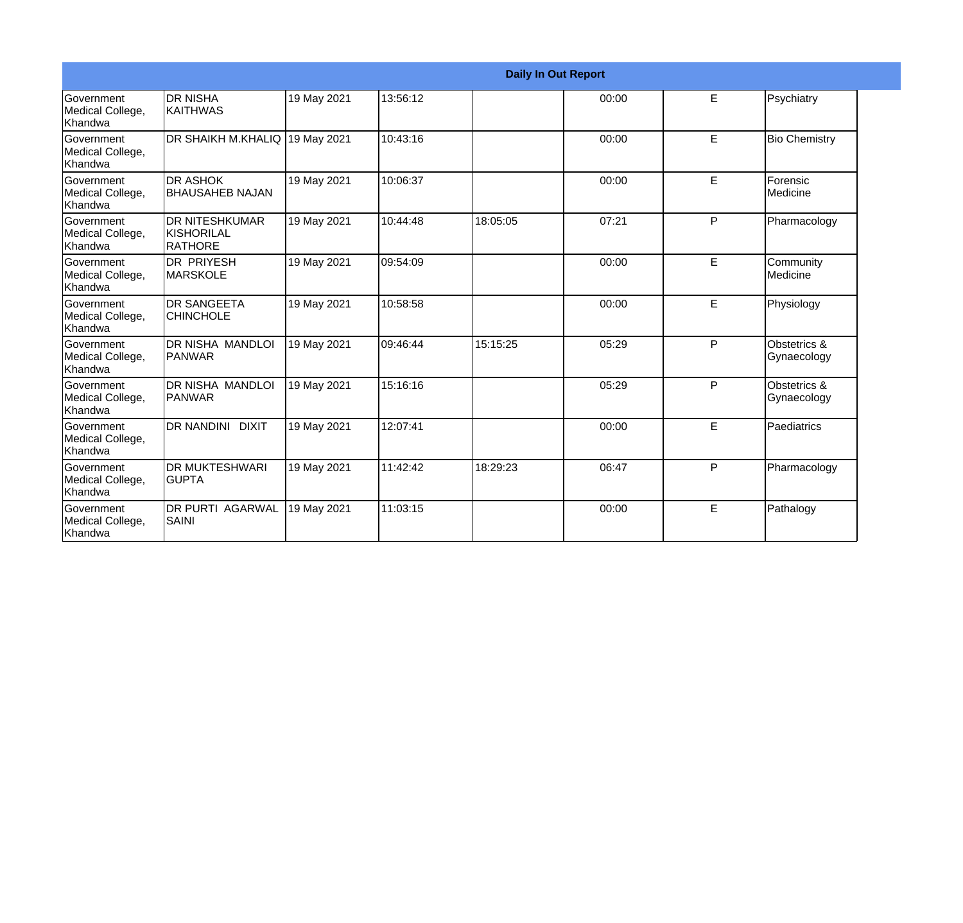|                                                         |                                                        |             |          |          | <b>Daily In Out Report</b> |   |                             |
|---------------------------------------------------------|--------------------------------------------------------|-------------|----------|----------|----------------------------|---|-----------------------------|
| <b>Government</b><br>Medical College,<br>lKhandwa       | Idr nisha<br><b>IKAITHWAS</b>                          | 19 May 2021 | 13:56:12 |          | 00:00                      | E | Psychiatry                  |
| <b>Government</b><br>Medical College,<br><b>Khandwa</b> | DR SHAIKH M.KHALIQ 19 May 2021                         |             | 10:43:16 |          | 00:00                      | E | <b>Bio Chemistry</b>        |
| <b>Government</b><br>Medical College,<br>Khandwa        | <b>DR ASHOK</b><br><b>BHAUSAHEB NAJAN</b>              | 19 May 2021 | 10:06:37 |          | 00:00                      | E | Forensic<br>Medicine        |
| <b>Government</b><br>Medical College,<br>Khandwa        | <b>DR NITESHKUMAR</b><br>KISHORILAL<br><b>IRATHORE</b> | 19 May 2021 | 10:44:48 | 18:05:05 | 07:21                      | P | Pharmacology                |
| <b>Government</b><br>Medical College,<br>Khandwa        | <b>DR PRIYESH</b><br><b>MARSKOLE</b>                   | 19 May 2021 | 09:54:09 |          | 00:00                      | E | Community<br>Medicine       |
| Government<br>Medical College,<br>Khandwa               | <b>DR SANGEETA</b><br><b>CHINCHOLE</b>                 | 19 May 2021 | 10:58:58 |          | 00:00                      | E | Physiology                  |
| <b>Government</b><br>Medical College,<br>Khandwa        | DR NISHA MANDLOI<br> PANWAR                            | 19 May 2021 | 09:46:44 | 15:15:25 | 05:29                      | P | Obstetrics &<br>Gynaecology |
| <b>Government</b><br>Medical College,<br>Khandwa        | DR NISHA MANDLOI<br> PANWAR                            | 19 May 2021 | 15:16:16 |          | 05:29                      | P | Obstetrics &<br>Gynaecology |
| <b>Government</b><br>Medical College,<br><b>Khandwa</b> | DR NANDINI DIXIT                                       | 19 May 2021 | 12:07:41 |          | 00:00                      | E | Paediatrics                 |
| <b>Government</b><br>Medical College,<br>Khandwa        | <b>DR MUKTESHWARI</b><br><b>GUPTA</b>                  | 19 May 2021 | 11:42:42 | 18:29:23 | 06:47                      | P | Pharmacology                |
| Government<br>Medical College,<br>Khandwa               | <b>DR PURTI AGARWAL</b><br>SAINI                       | 19 May 2021 | 11:03:15 |          | 00:00                      | E | Pathalogy                   |